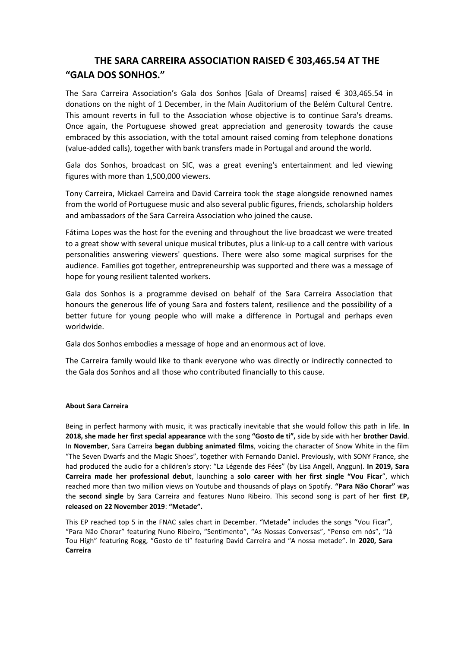## **THE SARA CARREIRA ASSOCIATION RAISED € 303,465.54 AT THE "GALA DOS SONHOS."**

The Sara Carreira Association's Gala dos Sonhos [Gala of Dreams] raised  $\epsilon$  303,465.54 in donations on the night of 1 December, in the Main Auditorium of the Belém Cultural Centre. This amount reverts in full to the Association whose objective is to continue Sara's dreams. Once again, the Portuguese showed great appreciation and generosity towards the cause embraced by this association, with the total amount raised coming from telephone donations (value-added calls), together with bank transfers made in Portugal and around the world.

Gala dos Sonhos, broadcast on SIC, was a great evening's entertainment and led viewing figures with more than 1,500,000 viewers.

Tony Carreira, Mickael Carreira and David Carreira took the stage alongside renowned names from the world of Portuguese music and also several public figures, friends, scholarship holders and ambassadors of the Sara Carreira Association who joined the cause.

Fátima Lopes was the host for the evening and throughout the live broadcast we were treated to a great show with several unique musical tributes, plus a link-up to a call centre with various personalities answering viewers' questions. There were also some magical surprises for the audience. Families got together, entrepreneurship was supported and there was a message of hope for young resilient talented workers.

Gala dos Sonhos is a programme devised on behalf of the Sara Carreira Association that honours the generous life of young Sara and fosters talent, resilience and the possibility of a better future for young people who will make a difference in Portugal and perhaps even worldwide.

Gala dos Sonhos embodies a message of hope and an enormous act of love.

The Carreira family would like to thank everyone who was directly or indirectly connected to the Gala dos Sonhos and all those who contributed financially to this cause.

## **About Sara Carreira**

Being in perfect harmony with music, it was practically inevitable that she would follow this path in life. **In 2018, she made her first special appearance** with the song **"Gosto de ti",** side by side with her **brother David**. In **November**, Sara Carreira **began dubbing animated films**, voicing the character of Snow White in the film "The Seven Dwarfs and the Magic Shoes", together with Fernando Daniel. Previously, with SONY France, she had produced the audio for a children's story: "La Légende des Fées" (by Lisa Angell, Anggun). **In 2019, Sara Carreira made her professional debut**, launching a **solo career with her first single "Vou Ficar**", which reached more than two million views on Youtube and thousands of plays on Spotify. **"Para Não Chorar"** was the **second single** by Sara Carreira and features Nuno Ribeiro. This second song is part of her **first EP, released on 22 November 2019**: **"Metade".**

This EP reached top 5 in the FNAC sales chart in December. "Metade" includes the songs "Vou Ficar", "Para Não Chorar" featuring Nuno Ribeiro, "Sentimento", "As Nossas Conversas", "Penso em nós", "Já Tou High" featuring Rogg, "Gosto de ti" featuring David Carreira and "A nossa metade". In **2020, Sara Carreira**